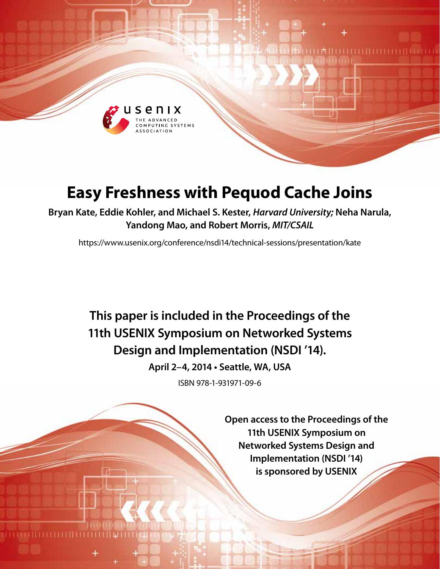

# **Easy Freshness with Pequod Cache Joins**

**Bryan Kate, Eddie Kohler, and Michael S. Kester,** *Harvard University;* **Neha Narula, Yandong Mao, and Robert Morris,** *MIT/CSAIL*

https://www.usenix.org/conference/nsdi14/technical-sessions/presentation/kate

**This paper is included in the Proceedings of the 11th USENIX Symposium on Networked Systems Design and Implementation (NSDI '14).**

**April 2–4, 2014 • Seattle, WA, USA**

ISBN 978-1-931971-09-6

**Open access to the Proceedings of the 11th USENIX Symposium on Networked Systems Design and Implementation (NSDI '14) is sponsored by USENIX**

**EMILIALITA ET LITERET**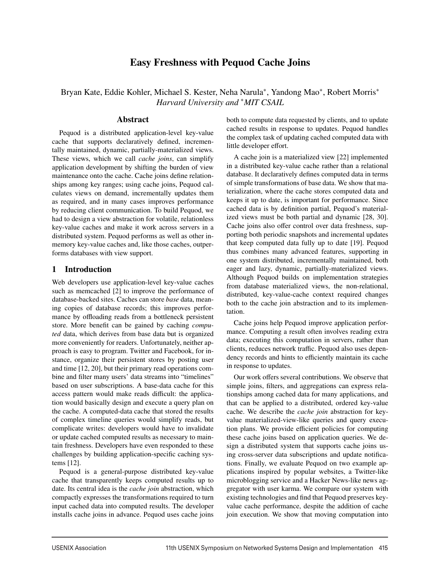# Easy Freshness with Pequod Cache Joins

Bryan Kate, Eddie Kohler, Michael S. Kester, Neha Narula∗, Yandong Mao∗, Robert Morris∗ *Harvard University and* ∗*MIT CSAIL*

#### Abstract

Pequod is a distributed application-level key-value cache that supports declaratively defined, incrementally maintained, dynamic, partially-materialized views. These views, which we call *cache joins*, can simplify application development by shifting the burden of view maintenance onto the cache. Cache joins define relationships among key ranges; using cache joins, Pequod calculates views on demand, incrementally updates them as required, and in many cases improves performance by reducing client communication. To build Pequod, we had to design a view abstraction for volatile, relationless key-value caches and make it work across servers in a distributed system. Pequod performs as well as other inmemory key-value caches and, like those caches, outperforms databases with view support.

# 1 Introduction

Web developers use application-level key-value caches such as memcached [2] to improve the performance of database-backed sites. Caches can store *base* data, meaning copies of database records; this improves performance by offloading reads from a bottleneck persistent store. More benefit can be gained by caching *computed* data, which derives from base data but is organized more conveniently for readers. Unfortunately, neither approach is easy to program. Twitter and Facebook, for instance, organize their persistent stores by posting user and time [12, 20], but their primary read operations combine and filter many users' data streams into "timelines" based on user subscriptions. A base-data cache for this access pattern would make reads difficult: the application would basically design and execute a query plan on the cache. A computed-data cache that stored the results of complex timeline queries would simplify reads, but complicate writes: developers would have to invalidate or update cached computed results as necessary to maintain freshness. Developers have even responded to these challenges by building application-specific caching systems [12].

Pequod is a general-purpose distributed key-value cache that transparently keeps computed results up to date. Its central idea is the *cache join* abstraction, which compactly expresses the transformations required to turn input cached data into computed results. The developer installs cache joins in advance. Pequod uses cache joins

both to compute data requested by clients, and to update cached results in response to updates. Pequod handles the complex task of updating cached computed data with little developer effort.

A cache join is a materialized view [22] implemented in a distributed key-value cache rather than a relational database. It declaratively defines computed data in terms of simple transformations of base data. We show that materialization, where the cache stores computed data and keeps it up to date, is important for performance. Since cached data is by definition partial, Pequod's materialized views must be both partial and dynamic [28, 30]. Cache joins also offer control over data freshness, supporting both periodic snapshots and incremental updates that keep computed data fully up to date [19]. Pequod thus combines many advanced features, supporting in one system distributed, incrementally maintained, both eager and lazy, dynamic, partially-materialized views. Although Pequod builds on implementation strategies from database materialized views, the non-relational, distributed, key-value-cache context required changes both to the cache join abstraction and to its implementation.

Cache joins help Pequod improve application performance. Computing a result often involves reading extra data; executing this computation in servers, rather than clients, reduces network traffic. Pequod also uses dependency records and hints to efficiently maintain its cache in response to updates.

Our work offers several contributions. We observe that simple joins, filters, and aggregations can express relationships among cached data for many applications, and that can be applied to a distributed, ordered key-value cache. We describe the *cache join* abstraction for keyvalue materialized-view-like queries and query execution plans. We provide efficient policies for computing these cache joins based on application queries. We design a distributed system that supports cache joins using cross-server data subscriptions and update notifications. Finally, we evaluate Pequod on two example applications inspired by popular websites, a Twitter-like microblogging service and a Hacker News-like news aggregator with user karma. We compare our system with existing technologies and find that Pequod preserves keyvalue cache performance, despite the addition of cache join execution. We show that moving computation into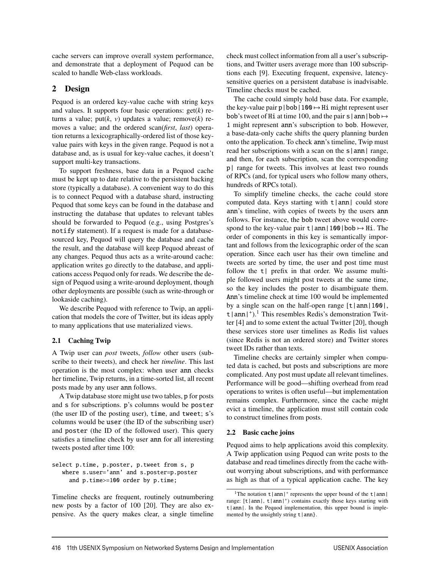cache servers can improve overall system performance, and demonstrate that a deployment of Pequod can be scaled to handle Web-class workloads.

# 2 Design

Pequod is an ordered key-value cache with string keys and values. It supports four basic operations: get(*k*) returns a value; put(*k*, *v*) updates a value; remove(*k*) removes a value; and the ordered scan(*first*, *last*) operation returns a lexicographically-ordered list of those keyvalue pairs with keys in the given range. Pequod is not a database and, as is usual for key-value caches, it doesn't support multi-key transactions.

To support freshness, base data in a Pequod cache must be kept up to date relative to the persistent backing store (typically a database). A convenient way to do this is to connect Pequod with a database shard, instructing Pequod that some keys can be found in the database and instructing the database that updates to relevant tables should be forwarded to Pequod (e.g., using Postgres's notify statement). If a request is made for a databasesourced key, Pequod will query the database and cache the result, and the database will keep Pequod abreast of any changes. Pequod thus acts as a write-around cache: application writes go directly to the database, and applications access Pequod only for reads. We describe the design of Pequod using a write-around deployment, though other deployments are possible (such as write-through or lookaside caching).

We describe Pequod with reference to Twip, an application that models the core of Twitter, but its ideas apply to many applications that use materialized views.

# 2.1 Caching Twip

A Twip user can *post* tweets, *follow* other users (subscribe to their tweets), and check her *timeline*. This last operation is the most complex: when user ann checks her timeline, Twip returns, in a time-sorted list, all recent posts made by any user ann follows.

A Twip database store might use two tables, p for posts and s for subscriptions. p's columns would be poster (the user ID of the posting user), time, and tweet; s's columns would be user (the ID of the subscribing user) and poster (the ID of the followed user). This query satisfies a timeline check by user ann for all interesting tweets posted after time 100:

```
select p.time, p.poster, p.tweet from s, p
  where s.user='ann' and s.poster=p.poster
     and p.time>=100 order by p.time;
```
Timeline checks are frequent, routinely outnumbering new posts by a factor of 100 [20]. They are also expensive. As the query makes clear, a single timeline check must collect information from all a user's subscriptions, and Twitter users average more than 100 subscriptions each [9]. Executing frequent, expensive, latencysensitive queries on a persistent database is inadvisable. Timeline checks must be cached.

The cache could simply hold base data. For example, the key-value pair p|bob|100  $\mapsto$  Hi might represent user bob's tweet of Hi at time 100, and the pair s | ann | bob  $\mapsto$ 1 might represent ann's subscription to bob. However, a base-data-only cache shifts the query planning burden onto the application. To check ann's timeline, Twip must read her subscriptions with a scan on the s|ann| range, and then, for each subscription, scan the corresponding p| range for tweets. This involves at least two rounds of RPCs (and, for typical users who follow many others, hundreds of RPCs total).

To simplify timeline checks, the cache could store computed data. Keys starting with  $t |ann|$  could store ann's timeline, with copies of tweets by the users ann follows. For instance, the bob tweet above would correspond to the key-value pair  $t |ann|100|bob \rightarrow Hi$ . The order of components in this key is semantically important and follows from the lexicographic order of the scan operation. Since each user has their own timeline and tweets are sorted by time, the user and post time must follow the  $t$  prefix in that order. We assume multiple followed users might post tweets at the same time, so the key includes the poster to disambiguate them. Ann's timeline check at time 100 would be implemented by a single scan on the half-open range  $\lceil t | \text{ann} | 100 \rceil$ ,  $t$  | ann |  $^{\dagger}$ ).<sup>1</sup> This resembles Redis's demonstration Twitter [4] and to some extent the actual Twitter [20], though these services store user timelines as Redis list values (since Redis is not an ordered store) and Twitter stores tweet IDs rather than texts.

Timeline checks are certainly simpler when computed data is cached, but posts and subscriptions are more complicated. Any post must update all relevant timelines. Performance will be good—shifting overhead from read operations to writes is often useful—but implementation remains complex. Furthermore, since the cache might evict a timeline, the application must still contain code to construct timelines from posts.

# 2.2 Basic cache joins

Pequod aims to help applications avoid this complexity. A Twip application using Pequod can write posts to the database and read timelines directly from the cache without worrying about subscriptions, and with performance as high as that of a typical application cache. The key

<sup>&</sup>lt;sup>1</sup>The notation  $t |ann|$ <sup>+</sup> represents the upper bound of the  $t |ann|$ range:  $[t | ann|, t | ann|<sup>+</sup>)$  contains exactly those keys starting with  $t |ann|$ . In the Pequod implementation, this upper bound is implemented by the unsightly string  $t | ann$ .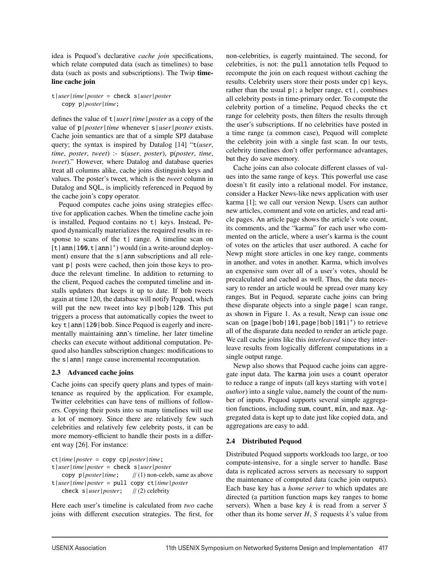idea is Pequod's declarative *cache join* specifications, which relate computed data (such as timelines) to base data (such as posts and subscriptions). The Twip timeline cache join

#### t|*user*|*time*|*poster* = check s|*user*|*poster* copy p|*poster*|*time*;

defines the value of t|*user*|*time*|*poster* as a copy of the value of p|*poster*|*time* whenever s|*user*|*poster* exists. Cache join semantics are that of a simple SPJ database query; the syntax is inspired by Datalog [14] "t(*user*, *time*, *poster*, *tweet*) :- s(*user*, *poster*), p(*poster*, *time*, *tweet*)." However, where Datalog and database queries treat all columns alike, cache joins distinguish keys and values. The poster's tweet, which is the *tweet* column in Datalog and SQL, is implicitly referenced in Pequod by the cache join's copy operator.

Pequod computes cache joins using strategies effective for application caches. When the timeline cache join is installed, Pequod contains no t| keys. Instead, Pequod dynamically materializes the required results in response to scans of the  $t$ | range. A timeline scan on  $[t | ann | 100, t | ann |<sup>+</sup>)$  would (in a write-around deployment) ensure that the  $s$  ann subscriptions and all relevant p | posts were cached, then join those keys to produce the relevant timeline. In addition to returning to the client, Pequod caches the computed timeline and installs updaters that keeps it up to date. If bob tweets again at time 120, the database will notify Pequod, which will put the new tweet into key p|bob|120. This put triggers a process that automatically copies the tweet to key t|ann|120|bob. Since Pequod is eagerly and incrementally maintaining ann's timeline, her later timeline checks can execute without additional computation. Pequod also handles subscription changes: modifications to the s | ann | range cause incremental recomputation.

#### 2.3 Advanced cache joins

Cache joins can specify query plans and types of maintenance as required by the application. For example, Twitter celebrities can have tens of millions of followers. Copying their posts into so many timelines will use a lot of memory. Since there are relatively few such celebrities and relatively few celebrity posts, it can be more memory-efficient to handle their posts in a different way [26]. For instance:

ct|*time*|*poster* = copy cp|*poster*|*time*; t|*user*|*time*|*poster* = check s|*user*|*poster* copy p|*poster*|*time*; // (1) non-celeb, same as above t|*user*|*time*|*poster* = pull copy ct|*time*|*poster* check s|*user*|*poster*; // (2) celebrity

Here each user's timeline is calculated from *two* cache joins with different execution strategies. The first, for non-celebrities, is eagerly maintained. The second, for celebrities, is not: the pull annotation tells Pequod to recompute the join on each request without caching the results. Celebrity users store their posts under cp| keys, rather than the usual  $p$  ; a helper range,  $ct$  ; combines all celebrity posts in time-primary order. To compute the celebrity portion of a timeline, Pequod checks the ct range for celebrity posts, then filters the results through the user's subscriptions. If no celebrities have posted in a time range (a common case), Pequod will complete the celebrity join with a single fast scan. In our tests, celebrity timelines don't offer performance advantages, but they do save memory.

Cache joins can also colocate different classes of values into the same range of keys. This powerful use case doesn't fit easily into a relational model. For instance, consider a Hacker News-like news application with user karma [1]; we call our version Newp. Users can author new articles, comment and vote on articles, and read article pages. An article page shows the article's vote count, its comments, and the "karma" for each user who commented on the article, where a user's karma is the count of votes on the articles that user authored. A cache for Newp might store articles in one key range, comments in another, and votes in another. Karma, which involves an expensive sum over all of a user's votes, should be precalculated and cached as well. Thus, the data necessary to render an article would be spread over many key ranges. But in Pequod, separate cache joins can bring these disparate objects into a single page| scan range, as shown in Figure 1. As a result, Newp can issue one scan on  $[page|bob|101,page|bob|101|^+)$  to retrieve all of the disparate data needed to render an article page. We call cache joins like this *interleaved* since they interleave results from logically different computations in a single output range.

Newp also shows that Pequod cache joins can aggregate input data. The karma join uses a count operator to reduce a range of inputs (all keys starting with vote| *author*) into a single value, namely the count of the number of inputs. Pequod supports several simple aggregation functions, including sum, count, min, and max. Aggregated data is kept up to date just like copied data, and aggregations are easy to add.

# 2.4 Distributed Pequod

Distributed Pequod supports workloads too large, or too compute-intensive, for a single server to handle. Base data is replicated across servers as necessary to support the maintenance of computed data (cache join outputs). Each base key has a *home server* to which updates are directed (a partition function maps key ranges to home servers). When a base key *k* is read from a server *S* other than its home server *H*, *S* requests *k*'s value from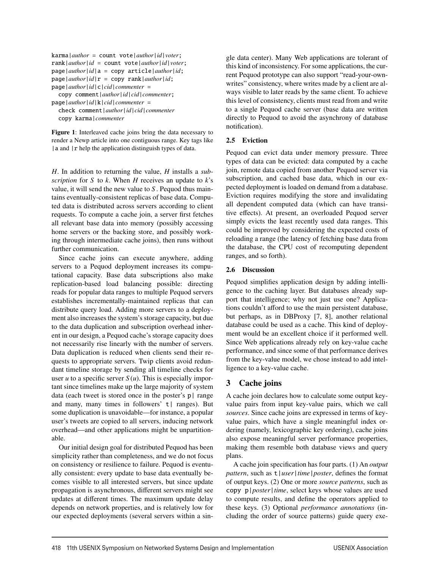```
karma|author = count vote|author|id|voter;
rank|author|id = count vote|author|id|voter;
page|author|id|a = copy article|author|id;
page|author|id|r = copy rank|author|id;
page|author|id|c|cid|commenter =
```
copy comment|*author*|*id*|*cid*|*commenter*; page|*author*|*id*|k|*cid*|*commenter* = check comment|*author*|*id*|*cid*|*commenter* copy karma|*commenter*

Figure 1: Interleaved cache joins bring the data necessary to render a Newp article into one contiguous range. Key tags like | a and | r help the application distinguish types of data.

*H*. In addition to returning the value, *H* installs a *subscription* for *S* to *k*. When *H* receives an update to *k*'s value, it will send the new value to *S* . Pequod thus maintains eventually-consistent replicas of base data. Computed data is distributed across servers according to client requests. To compute a cache join, a server first fetches all relevant base data into memory (possibly accessing home servers or the backing store, and possibly working through intermediate cache joins), then runs without further communication.

Since cache joins can execute anywhere, adding servers to a Pequod deployment increases its computational capacity. Base data subscriptions also make replication-based load balancing possible: directing reads for popular data ranges to multiple Pequod servers establishes incrementally-maintained replicas that can distribute query load. Adding more servers to a deployment also increases the system's storage capacity, but due to the data duplication and subscription overhead inherent in our design, a Pequod cache's storage capacity does not necessarily rise linearly with the number of servers. Data duplication is reduced when clients send their requests to appropriate servers. Twip clients avoid redundant timeline storage by sending all timeline checks for user *u* to a specific server  $S(u)$ . This is especially important since timelines make up the large majority of system data (each tweet is stored once in the poster's  $p \mid$  range and many, many times in followers'  $t$  | ranges). But some duplication is unavoidable—for instance, a popular user's tweets are copied to all servers, inducing network overhead—and other applications might be unpartitionable.

Our initial design goal for distributed Pequod has been simplicity rather than completeness, and we do not focus on consistency or resilience to failure. Pequod is eventually consistent: every update to base data eventually becomes visible to all interested servers, but since update propagation is asynchronous, different servers might see updates at different times. The maximum update delay depends on network properties, and is relatively low for our expected deployments (several servers within a single data center). Many Web applications are tolerant of this kind of inconsistency. For some applications, the current Pequod prototype can also support "read-your-ownwrites" consistency, where writes made by a client are always visible to later reads by the same client. To achieve this level of consistency, clients must read from and write to a single Pequod cache server (base data are written directly to Pequod to avoid the asynchrony of database notification).

# 2.5 Eviction

Pequod can evict data under memory pressure. Three types of data can be evicted: data computed by a cache join, remote data copied from another Pequod server via subscription, and cached base data, which in our expected deployment is loaded on demand from a database. Eviction requires modifying the store and invalidating all dependent computed data (which can have transitive effects). At present, an overloaded Pequod server simply evicts the least recently used data ranges. This could be improved by considering the expected costs of reloading a range (the latency of fetching base data from the database, the CPU cost of recomputing dependent ranges, and so forth).

#### 2.6 Discussion

Pequod simplifies application design by adding intelligence to the caching layer. But databases already support that intelligence; why not just use one? Applications couldn't afford to use the main persistent database, but perhaps, as in DBProxy [7, 8], another relational database could be used as a cache. This kind of deployment would be an excellent choice if it performed well. Since Web applications already rely on key-value cache performance, and since some of that performance derives from the key-value model, we chose instead to add intelligence to a key-value cache.

# 3 Cache joins

A cache join declares how to calculate some output keyvalue pairs from input key-value pairs, which we call *sources*. Since cache joins are expressed in terms of keyvalue pairs, which have a single meaningful index ordering (namely, lexicographic key ordering), cache joins also expose meaningful server performance properties, making them resemble both database views and query plans.

A cache join specification has four parts. (1) An *output pattern*, such as t|*user*|*time*|*poster*, defines the format of output keys. (2) One or more *source patterns*, such as copy p|*poster*|*time*, select keys whose values are used to compute results, and define the operators applied to these keys. (3) Optional *performance annotations* (including the order of source patterns) guide query exe-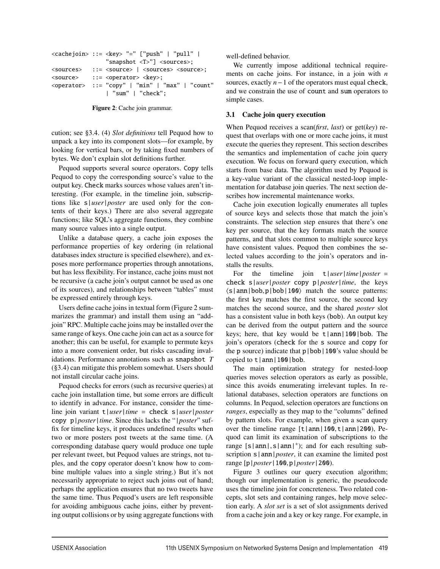```
<cachejoin> ::= <key> "=" ["push" | "pull" |
                "snapshot <T>"] <sources>;
<sources> ::= <source> | <sources> <source>;
<source> ::= <operator> <key>;
<operator> ::= "copy" | "min" | "max" | "count"
                | "sum" | "check";
```
Figure 2: Cache join grammar.

cution; see §3.4. (4) *Slot definitions* tell Pequod how to unpack a key into its component slots—for example, by looking for vertical bars, or by taking fixed numbers of bytes. We don't explain slot definitions further.

Pequod supports several source operators. Copy tells Pequod to copy the corresponding source's value to the output key. Check marks sources whose values aren't interesting. (For example, in the timeline join, subscriptions like s|*user*|*poster* are used only for the contents of their keys.) There are also several aggregate functions; like SQL's aggregate functions, they combine many source values into a single output.

Unlike a database query, a cache join exposes the performance properties of key ordering (in relational databases index structure is specified elsewhere), and exposes more performance properties through annotations, but has less flexibility. For instance, cache joins must not be recursive (a cache join's output cannot be used as one of its sources), and relationships between "tables" must be expressed entirely through keys.

Users define cache joins in textual form (Figure 2 summarizes the grammar) and install them using an "addjoin" RPC. Multiple cache joins may be installed over the same range of keys. One cache join can act as a source for another; this can be useful, for example to permute keys into a more convenient order, but risks cascading invalidations. Performance annotations such as snapshot *T* (§3.4) can mitigate this problem somewhat. Users should not install circular cache joins.

Pequod checks for errors (such as recursive queries) at cache join installation time, but some errors are difficult to identify in advance. For instance, consider the timeline join variant t|*user*|*time* = check s|*user*|*poster* copy p|*poster*|*time*. Since this lacks the "|*poster*" suffix for timeline keys, it produces undefined results when two or more posters post tweets at the same time. (A corresponding database query would produce one tuple per relevant tweet, but Pequod values are strings, not tuples, and the copy operator doesn't know how to combine multiple values into a single string.) But it's not necessarily appropriate to reject such joins out of hand; perhaps the application ensures that no two tweets have the same time. Thus Pequod's users are left responsible for avoiding ambiguous cache joins, either by preventing output collisions or by using aggregate functions with well-defined behavior.

We currently impose additional technical requirements on cache joins. For instance, in a join with *n* sources, exactly *n*−1 of the operators must equal check, and we constrain the use of count and sum operators to simple cases.

#### 3.1 Cache join query execution

When Pequod receives a scan(*first*, *last*) or get(*key*) request that overlaps with one or more cache joins, it must execute the queries they represent. This section describes the semantics and implementation of cache join query execution. We focus on forward query execution, which starts from base data. The algorithm used by Pequod is a key-value variant of the classical nested-loop implementation for database join queries. The next section describes how incremental maintenance works.

Cache join execution logically enumerates all tuples of source keys and selects those that match the join's constraints. The selection step ensures that there's one key per source, that the key formats match the source patterns, and that slots common to multiple source keys have consistent values. Pequod then combines the selected values according to the join's operators and installs the results.

For the timeline join t|*user*|*time*|*poster* = check s|*user*|*poster* copy p|*poster*|*time*, the keys  $\langle s |$  ann | bob, p | bob | 100 match the source patterns: the first key matches the first source, the second key matches the second source, and the shared *poster* slot has a consistent value in both keys (bob). An output key can be derived from the output pattern and the source keys; here, that key would be  $t |ann|100|$  bob. The join's operators (check for the s source and copy for the p source) indicate that  $p|bob|100$ 's value should be copied to  $t |ann|100|bb$ .

The main optimization strategy for nested-loop queries moves selection operators as early as possible, since this avoids enumerating irrelevant tuples. In relational databases, selection operators are functions on columns. In Pequod, selection operators are functions on *ranges*, especially as they map to the "columns" defined by pattern slots. For example, when given a scan query over the timeline range  $\lceil t | \text{ann} | 100, t | \text{ann} | 200$ , Pequod can limit its examination of subscriptions to the range  $[s | ann |, s | ann |^{+})$ ; and for each resulting subscription s | ann | *poster*, it can examine the limited post range [p|*poster*|100,p|*poster*|200).

Figure 3 outlines our query execution algorithm; though our implementation is generic, the pseudocode uses the timeline join for concreteness. Two related concepts, slot sets and containing ranges, help move selection early. A *slot set* is a set of slot assignments derived from a cache join and a key or key range. For example, in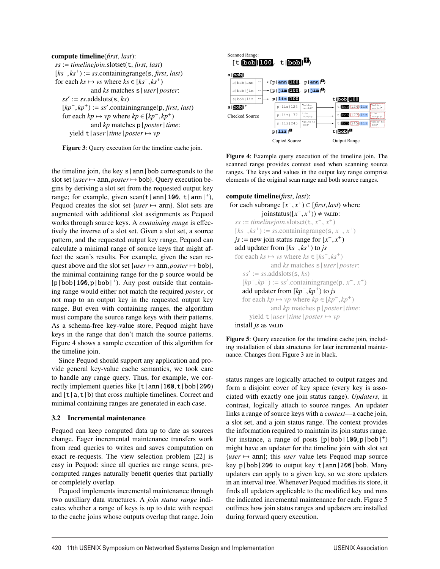

Figure 3: Query execution for the timeline cache join.

the timeline join, the key  $s | \text{ann} | \text{bob}$  corresponds to the slot set {*user*→ ann,*poster*→ bob}. Query execution begins by deriving a slot set from the requested output key range; for example, given scan( $t |ann|100$ ,  $t |ann|$ , Pequod creates the slot set  ${user \mapsto ann}$ . Slot sets are augmented with additional slot assignments as Pequod works through source keys. A *containing range* is effectively the inverse of a slot set. Given a slot set, a source pattern, and the requested output key range, Pequod can calculate a minimal range of source keys that might affect the scan's results. For example, given the scan request above and the slot set {*user*  $\mapsto$  ann, *poster*  $\mapsto$  bob}, the minimal containing range for the p source would be  $[p|bob|100,p|bob|<sup>+</sup>)$ . Any post outside that containing range would either not match the required *poster*, or not map to an output key in the requested output key range. But even with containing ranges, the algorithm must compare the source range keys with their patterns. As a schema-free key-value store, Pequod might have keys in the range that don't match the source patterns. Figure 4 shows a sample execution of this algorithm for the timeline join.

Since Pequod should support any application and provide general key-value cache semantics, we took care to handle any range query. Thus, for example, we correctly implement queries like [t|ann|100,t|bob|200) and  $[t|a,t|b)$  that cross multiple timelines. Correct and minimal containing ranges are generated in each case.

#### 3.2 Incremental maintenance

Pequod can keep computed data up to date as sources change. Eager incremental maintenance transfers work from read queries to writes and saves computation on exact re-requests. The view selection problem [22] is easy in Pequod: since all queries are range scans, precomputed ranges naturally benefit queries that partially or completely overlap.

Pequod implements incremental maintenance through two auxiliary data structures. A *join status range* indicates whether a range of keys is up to date with respect to the cache joins whose outputs overlap that range. Join



Figure 4: Example query execution of the timeline join. The scanned range provides context used when scanning source ranges. The keys and values in the output key range comprise elements of the original scan range and both source ranges.

```
compute timeline(first, last):
 for each subrange [x^-, x^+) \subset [first, last) where
              joinstatus([x^-, x^+)) ≠ valid:
   ss := timelinejoin_slotset(t, x^-, x^+)[ks^-, ks^+] := ss.containingrange(s, x<sup>−</sup>, x<sup>+</sup>)
   js := new join status range for [x−, x+)
   add updater from [ks−, ks+) to js
   for each ks \mapsto vs where ks \in [ks^-, ks^+]and ks matches s|user|poster:
      ss' := ss.addslots(s, ks)
      [kp^-, kp^+) := ss'.\text{containingrange}(p, x^-, x^+)add updater from [kp−, kp+) to js
      for each kp \mapsto vp where kp \in [kp^-, kp^+]and kp matches p|poster|time:
         yield t|user|time|poster \rightarrow vpinstall js as value
```
Figure 5: Query execution for the timeline cache join, including installation of data structures for later incremental maintenance. Changes from Figure 3 are in black.

status ranges are logically attached to output ranges and form a disjoint cover of key space (every key is associated with exactly one join status range). *Updaters*, in contrast, logically attach to source ranges. An updater links a range of source keys with a *context*—a cache join, a slot set, and a join status range. The context provides the information required to maintain its join status range. For instance, a range of posts  $[p|bob|100,p|bob|^+)$ might have an updater for the timeline join with slot set  ${user \mapsto \text{ann}}$ ; this *user* value lets Pequod map source key p|bob|200 to output key t|ann|200|bob. Many updaters can apply to a given key, so we store updaters in an interval tree. Whenever Pequod modifies its store, it finds all updaters applicable to the modified key and runs the indicated incremental maintenance for each. Figure 5 outlines how join status ranges and updaters are installed during forward query execution.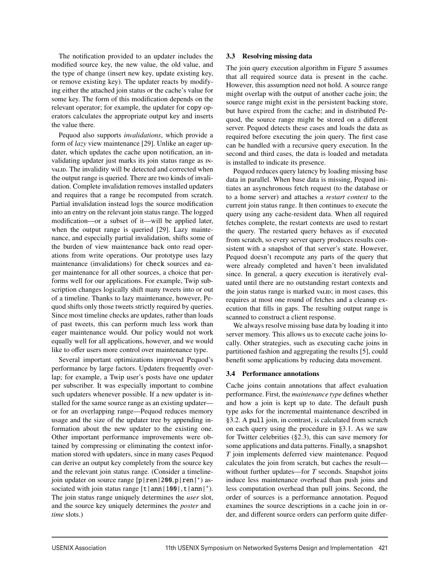The notification provided to an updater includes the modified source key, the new value, the old value, and the type of change (insert new key, update existing key, or remove existing key). The updater reacts by modifying either the attached join status or the cache's value for some key. The form of this modification depends on the relevant operator; for example, the updater for copy operators calculates the appropriate output key and inserts the value there.

Pequod also supports *invalidations*, which provide a form of *lazy* view maintenance [29]. Unlike an eager updater, which updates the cache upon notification, an invalidating updater just marks its join status range as invalidity will be detected and corrected when the output range is queried. There are two kinds of invalidation. Complete invalidation removes installed updaters and requires that a range be recomputed from scratch. Partial invalidation instead logs the source modification into an entry on the relevant join status range. The logged modification—or a subset of it—will be applied later, when the output range is queried [29]. Lazy maintenance, and especially partial invalidation, shifts some of the burden of view maintenance back onto read operations from write operations. Our prototype uses lazy maintenance (invalidations) for check sources and eager maintenance for all other sources, a choice that performs well for our applications. For example, Twip subscription changes logically shift many tweets into or out of a timeline. Thanks to lazy maintenance, however, Pequod shifts only those tweets strictly required by queries. Since most timeline checks are updates, rather than loads of past tweets, this can perform much less work than eager maintenance would. Our policy would not work equally well for all applications, however, and we would like to offer users more control over maintenance type.

Several important optimizations improved Pequod's performance by large factors. Updaters frequently overlap; for example, a Twip user's posts have one updater per subscriber. It was especially important to combine such updaters whenever possible. If a new updater is installed for the same source range as an existing updater or for an overlapping range—Pequod reduces memory usage and the size of the updater tree by appending information about the new updater to the existing one. Other important performance improvements were obtained by compressing or eliminating the context information stored with updaters, since in many cases Pequod can derive an output key completely from the source key and the relevant join status range. (Consider a timelinejoin updater on source range  $[p|\text{ren}|200,p|\text{ren}|^+)$  associated with join status range  $[t | ann | 100|, t | ann |<sup>+</sup>).$ The join status range uniquely determines the *user* slot, and the source key uniquely determines the *poster* and *time* slots.)

#### 3.3 Resolving missing data

The join query execution algorithm in Figure 5 assumes that all required source data is present in the cache. However, this assumption need not hold. A source range might overlap with the output of another cache join; the source range might exist in the persistent backing store, but have expired from the cache; and in distributed Pequod, the source range might be stored on a different server. Pequod detects these cases and loads the data as required before executing the join query. The first case can be handled with a recursive query execution. In the second and third cases, the data is loaded and metadata is installed to indicate its presence.

Pequod reduces query latency by loading missing base data in parallel. When base data is missing, Pequod initiates an asynchronous fetch request (to the database or to a home server) and attaches a *restart context* to the current join status range. It then continues to execute the query using any cache-resident data. When all required fetches complete, the restart contexts are used to restart the query. The restarted query behaves as if executed from scratch, so every server query produces results consistent with a snapshot of that server's state. However, Pequod doesn't recompute any parts of the query that were already completed and haven't been invalidated since. In general, a query execution is iteratively evaluated until there are no outstanding restart contexts and the join status range is marked valup; in most cases, this requires at most one round of fetches and a cleanup execution that fills in gaps. The resulting output range is scanned to construct a client response.

We always resolve missing base data by loading it into server memory. This allows us to execute cache joins locally. Other strategies, such as executing cache joins in partitioned fashion and aggregating the results [5], could benefit some applications by reducing data movement.

#### 3.4 Performance annotations

Cache joins contain annotations that affect evaluation performance. First, the *maintenance type* defines whether and how a join is kept up to date. The default push type asks for the incremental maintenance described in §3.2. A pull join, in contrast, is calculated from scratch on each query using the procedure in §3.1. As we saw for Twitter celebrities (§2.3), this can save memory for some applications and data patterns. Finally, a snapshot *T* join implements deferred view maintenance. Pequod calculates the join from scratch, but caches the result without further updates—for *T* seconds. Snapshot joins induce less maintenance overhead than push joins and less computation overhead than pull joins. Second, the order of sources is a performance annotation. Pequod examines the source descriptions in a cache join in order, and different source orders can perform quite differ-

-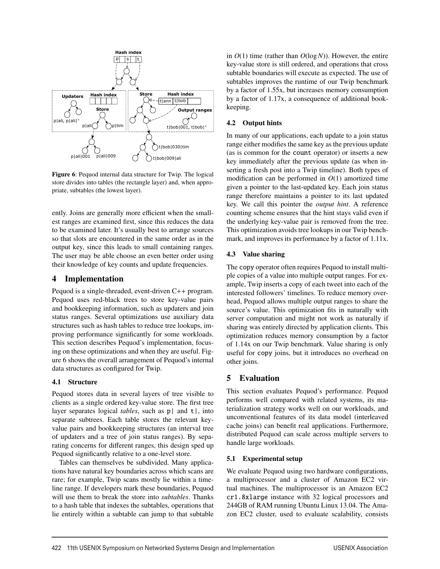

Figure 6: Pequod internal data structure for Twip. The logical store divides into tables (the rectangle layer) and, when appropriate, subtables (the lowest layer).

ently. Joins are generally more efficient when the smallest ranges are examined first, since this reduces the data to be examined later. It's usually best to arrange sources so that slots are encountered in the same order as in the output key, since this leads to small containing ranges. The user may be able choose an even better order using their knowledge of key counts and update frequencies.

#### 4 Implementation

Pequod is a single-threaded, event-driven C++ program. Pequod uses red-black trees to store key-value pairs and bookkeeping information, such as updaters and join status ranges. Several optimizations use auxiliary data structures such as hash tables to reduce tree lookups, improving performance significantly for some workloads. This section describes Pequod's implementation, focusing on these optimizations and when they are useful. Figure 6 shows the overall arrangement of Pequod's internal data structures as configured for Twip.

#### 4.1 Structure

Pequod stores data in several layers of tree visible to clients as a single ordered key-value store. The first tree layer separates logical *tables*, such as p| and t|, into separate subtrees. Each table stores the relevant keyvalue pairs and bookkeeping structures (an interval tree of updaters and a tree of join status ranges). By separating concerns for different ranges, this design sped up Pequod significantly relative to a one-level store.

Tables can themselves be subdivided. Many applications have natural key boundaries across which scans are rare; for example, Twip scans mostly lie within a timeline range. If developers mark these boundaries, Pequod will use them to break the store into *subtables*. Thanks to a hash table that indexes the subtables, operations that lie entirely within a subtable can jump to that subtable in *O*(1) time (rather than *O*(log*N*)). However, the entire key-value store is still ordered, and operations that cross subtable boundaries will execute as expected. The use of subtables improves the runtime of our Twip benchmark by a factor of 1.55x, but increases memory consumption by a factor of 1.17x, a consequence of additional bookkeeping.

# 4.2 Output hints

In many of our applications, each update to a join status range either modifies the same key as the previous update (as is common for the count operator) or inserts a new key immediately after the previous update (as when inserting a fresh post into a Twip timeline). Both types of modification can be performed in  $O(1)$  amortized time given a pointer to the last-updated key. Each join status range therefore maintains a pointer to its last updated key. We call this pointer the *output hint*. A reference counting scheme ensures that the hint stays valid even if the underlying key-value pair is removed from the tree. This optimization avoids tree lookups in our Twip benchmark, and improves its performance by a factor of 1.11x.

# 4.3 Value sharing

The copy operator often requires Pequod to install multiple copies of a value into multiple output ranges. For example, Twip inserts a copy of each tweet into each of the interested followers' timelines. To reduce memory overhead, Pequod allows multiple output ranges to share the source's value. This optimization fits in naturally with server computation and might not work as naturally if sharing was entirely directed by application clients. This optimization reduces memory consumption by a factor of 1.14x on our Twip benchmark. Value sharing is only useful for copy joins, but it introduces no overhead on other joins.

# 5 Evaluation

This section evaluates Pequod's performance. Pequod performs well compared with related systems, its materialization strategy works well on our workloads, and unconventional features of its data model (interleaved cache joins) can benefit real applications. Furthermore, distributed Pequod can scale across multiple servers to handle large workloads.

#### 5.1 Experimental setup

We evaluate Pequod using two hardware configurations, a multiprocessor and a cluster of Amazon EC2 virtual machines. The multiprocessor is an Amazon EC2 cr1.8xlarge instance with 32 logical processors and 244GB of RAM running Ubuntu Linux 13.04. The Amazon EC2 cluster, used to evaluate scalability, consists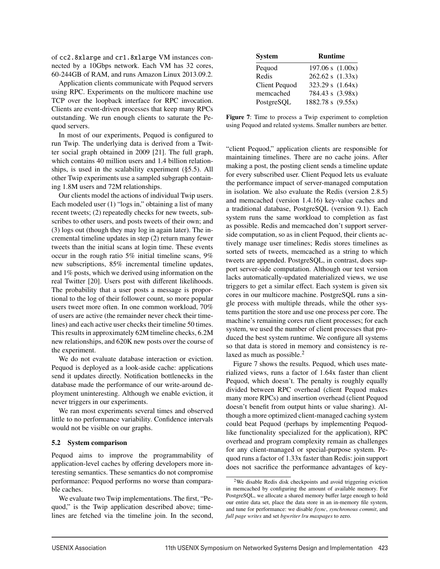of cc2.8xlarge and cr1.8xlarge VM instances connected by a 10Gbps network. Each VM has 32 cores, 60-244GB of RAM, and runs Amazon Linux 2013.09.2.

Application clients communicate with Pequod servers using RPC. Experiments on the multicore machine use TCP over the loopback interface for RPC invocation. Clients are event-driven processes that keep many RPCs outstanding. We run enough clients to saturate the Pequod servers.

In most of our experiments, Pequod is configured to run Twip. The underlying data is derived from a Twitter social graph obtained in 2009 [21]. The full graph, which contains 40 million users and 1.4 billion relationships, is used in the scalability experiment (§5.5). All other Twip experiments use a sampled subgraph containing 1.8M users and 72M relationships.

Our clients model the actions of individual Twip users. Each modeled user (1) "logs in," obtaining a list of many recent tweets; (2) repeatedly checks for new tweets, subscribes to other users, and posts tweets of their own; and (3) logs out (though they may log in again later). The incremental timeline updates in step (2) return many fewer tweets than the initial scans at login time. These events occur in the rough ratio 5% initial timeline scans, 9% new subscriptions, 85% incremental timeline updates, and 1% posts, which we derived using information on the real Twitter [20]. Users post with different likelihoods. The probability that a user posts a message is proportional to the log of their follower count, so more popular users tweet more often. In one common workload, 70% of users are active (the remainder never check their timelines) and each active user checks their timeline 50 times. This results in approximately 62M timeline checks, 6.2M new relationships, and 620K new posts over the course of the experiment.

We do not evaluate database interaction or eviction. Pequod is deployed as a look-aside cache: applications send it updates directly. Notification bottlenecks in the database made the performance of our write-around deployment uninteresting. Although we enable eviction, it never triggers in our experiments.

We ran most experiments several times and observed little to no performance variability. Confidence intervals would not be visible on our graphs.

#### 5.2 System comparison

Pequod aims to improve the programmability of application-level caches by offering developers more interesting semantics. These semantics do not compromise performance: Pequod performs no worse than comparable caches.

We evaluate two Twip implementations. The first, "Pequod," is the Twip application described above; timelines are fetched via the timeline join. In the second,

| <b>System</b> | <b>Runtime</b>     |
|---------------|--------------------|
| Pequod        | 197.06 s $(1.00x)$ |
| Redis         | 262.62 s (1.33x)   |
| Client Pequod | 323.29 s $(1.64x)$ |
| memcached     | 784.43 s (3.98x)   |
| PostgreSQL    | 1882.78 s (9.55x)  |

Figure 7: Time to process a Twip experiment to completion using Pequod and related systems. Smaller numbers are better.

"client Pequod," application clients are responsible for maintaining timelines. There are no cache joins. After making a post, the posting client sends a timeline update for every subscribed user. Client Pequod lets us evaluate the performance impact of server-managed computation in isolation. We also evaluate the Redis (version 2.8.5) and memcached (version 1.4.16) key-value caches and a traditional database, PostgreSQL (version 9.1). Each system runs the same workload to completion as fast as possible. Redis and memcached don't support serverside computation, so as in client Pequod, their clients actively manage user timelines; Redis stores timelines as sorted sets of tweets, memcached as a string to which tweets are appended. PostgreSQL, in contrast, does support server-side computation. Although our test version lacks automatically-updated materialized views, we use triggers to get a similar effect. Each system is given six cores in our multicore machine. PostgreSQL runs a single process with multiple threads, while the other systems partition the store and use one process per core. The machine's remaining cores run client processes; for each system, we used the number of client processes that produced the best system runtime. We configure all systems so that data is stored in memory and consistency is relaxed as much as possible.<sup>2</sup>

Figure 7 shows the results. Pequod, which uses materialized views, runs a factor of 1.64x faster than client Pequod, which doesn't. The penalty is roughly equally divided between RPC overhead (client Pequod makes many more RPCs) and insertion overhead (client Pequod doesn't benefit from output hints or value sharing). Although a more optimized client-managed caching system could beat Pequod (perhaps by implementing Pequodlike functionality specialized for the application), RPC overhead and program complexity remain as challenges for any client-managed or special-purpose system. Pequod runs a factor of 1.33x faster than Redis: join support does not sacrifice the performance advantages of key-

<sup>2</sup>We disable Redis disk checkpoints and avoid triggering eviction in memcached by configuring the amount of available memory. For PostgreSQL, we allocate a shared memory buffer large enough to hold our entire data set, place the data store in an in-memory file system, and tune for performance: we disable *fsync*, *synchronous commit*, and *full page writes* and set *bgwriter lru maxpages* to zero.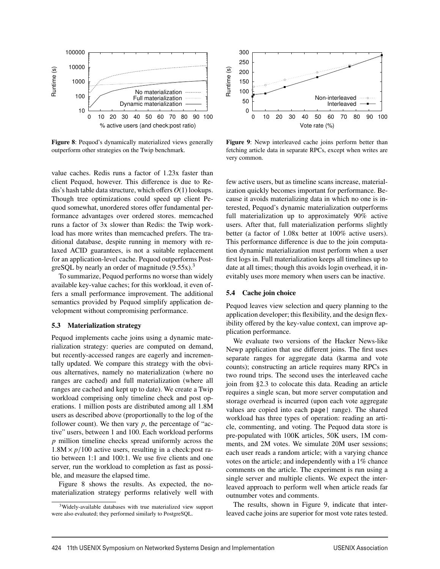

Figure 8: Pequod's dynamically materialized views generally outperform other strategies on the Twip benchmark.

value caches. Redis runs a factor of 1.23x faster than client Pequod, however. This difference is due to Redis's hash table data structure, which offers *O*(1) lookups. Though tree optimizations could speed up client Pequod somewhat, unordered stores offer fundamental performance advantages over ordered stores. memcached runs a factor of 3x slower than Redis: the Twip workload has more writes than memcached prefers. The traditional database, despite running in memory with relaxed ACID guarantees, is not a suitable replacement for an application-level cache. Pequod outperforms PostgreSQL by nearly an order of magnitude  $(9.55x)^3$ 

To summarize, Pequod performs no worse than widely available key-value caches; for this workload, it even offers a small performance improvement. The additional semantics provided by Pequod simplify application development without compromising performance.

#### 5.3 Materialization strategy

Pequod implements cache joins using a dynamic materialization strategy: queries are computed on demand, but recently-accessed ranges are eagerly and incrementally updated. We compare this strategy with the obvious alternatives, namely no materialization (where no ranges are cached) and full materialization (where all ranges are cached and kept up to date). We create a Twip workload comprising only timeline check and post operations. 1 million posts are distributed among all 1.8M users as described above (proportionally to the log of the follower count). We then vary *p*, the percentage of "active" users, between 1 and 100. Each workload performs *p* million timeline checks spread uniformly across the  $1.8M \times p/100$  active users, resulting in a check:post ratio between 1:1 and 100:1. We use five clients and one server, run the workload to completion as fast as possible, and measure the elapsed time.

Figure 8 shows the results. As expected, the nomaterialization strategy performs relatively well with



Figure 9: Newp interleaved cache joins perform better than fetching article data in separate RPCs, except when writes are very common.

few active users, but as timeline scans increase, materialization quickly becomes important for performance. Because it avoids materializing data in which no one is interested, Pequod's dynamic materialization outperforms full materialization up to approximately 90% active users. After that, full materialization performs slightly better (a factor of 1.08x better at 100% active users). This performance difference is due to the join computation dynamic materialization must perform when a user first logs in. Full materialization keeps all timelines up to date at all times; though this avoids login overhead, it inevitably uses more memory when users can be inactive.

#### 5.4 Cache join choice

Pequod leaves view selection and query planning to the application developer; this flexibility, and the design flexibility offered by the key-value context, can improve application performance.

We evaluate two versions of the Hacker News-like Newp application that use different joins. The first uses separate ranges for aggregate data (karma and vote counts); constructing an article requires many RPCs in two round trips. The second uses the interleaved cache join from §2.3 to colocate this data. Reading an article requires a single scan, but more server computation and storage overhead is incurred (upon each vote aggregate values are copied into each page| range). The shared workload has three types of operation: reading an article, commenting, and voting. The Pequod data store is pre-populated with 100K articles, 50K users, 1M comments, and 2M votes. We simulate 20M user sessions; each user reads a random article; with a varying chance votes on the article; and independently with a 1% chance comments on the article. The experiment is run using a single server and multiple clients. We expect the interleaved approach to perform well when article reads far outnumber votes and comments.

The results, shown in Figure 9, indicate that interleaved cache joins are superior for most vote rates tested.

 $\overline{1}$ 

<sup>&</sup>lt;sup>3</sup>Widely-available databases with true materialized view support were also evaluated; they performed similarly to PostgreSQL.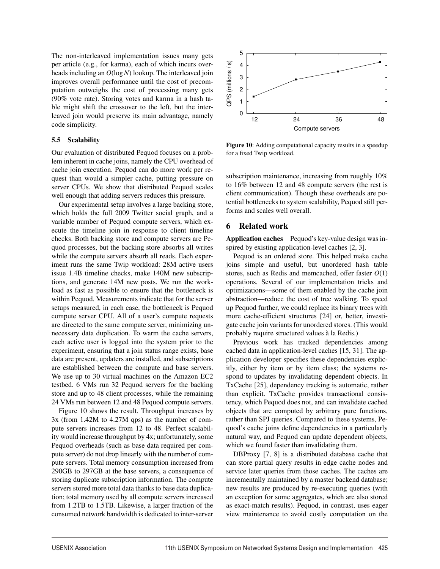The non-interleaved implementation issues many gets per article (e.g., for karma), each of which incurs overheads including an *O*(log*N*) lookup. The interleaved join improves overall performance until the cost of precomputation outweighs the cost of processing many gets (90% vote rate). Storing votes and karma in a hash table might shift the crossover to the left, but the interleaved join would preserve its main advantage, namely code simplicity.

#### 5.5 Scalability

Our evaluation of distributed Pequod focuses on a problem inherent in cache joins, namely the CPU overhead of cache join execution. Pequod can do more work per request than would a simpler cache, putting pressure on server CPUs. We show that distributed Pequod scales well enough that adding servers reduces this pressure.

Our experimental setup involves a large backing store, which holds the full 2009 Twitter social graph, and a variable number of Pequod compute servers, which execute the timeline join in response to client timeline checks. Both backing store and compute servers are Pequod processes, but the backing store absorbs all writes while the compute servers absorb all reads. Each experiment runs the same Twip workload: 28M active users issue 1.4B timeline checks, make 140M new subscriptions, and generate 14M new posts. We run the workload as fast as possible to ensure that the bottleneck is within Pequod. Measurements indicate that for the server setups measured, in each case, the bottleneck is Pequod compute server CPU. All of a user's compute requests are directed to the same compute server, minimizing unnecessary data duplication. To warm the cache servers, each active user is logged into the system prior to the experiment, ensuring that a join status range exists, base data are present, updaters are installed, and subscriptions are established between the compute and base servers. We use up to 30 virtual machines on the Amazon EC2 testbed. 6 VMs run 32 Pequod servers for the backing store and up to 48 client processes, while the remaining 24 VMs run between 12 and 48 Pequod compute servers.

Figure 10 shows the result. Throughput increases by 3x (from 1.42M to 4.27M qps) as the number of compute servers increases from 12 to 48. Perfect scalability would increase throughput by 4x; unfortunately, some Pequod overheads (such as base data required per compute server) do not drop linearly with the number of compute servers. Total memory consumption increased from 290GB to 297GB at the base servers, a consequence of storing duplicate subscription information. The compute servers stored more total data thanks to base data duplication; total memory used by all compute servers increased from 1.2TB to 1.5TB. Likewise, a larger fraction of the consumed network bandwidth is dedicated to inter-server



Figure 10: Adding computational capacity results in a speedup for a fixed Twip workload.

subscription maintenance, increasing from roughly 10% to 16% between 12 and 48 compute servers (the rest is client communication). Though these overheads are potential bottlenecks to system scalability, Pequod still performs and scales well overall.

#### 6 Related work

Application caches Pequod's key-value design was inspired by existing application-level caches [2, 3].

Pequod is an ordered store. This helped make cache joins simple and useful, but unordered hash table stores, such as Redis and memcached, offer faster *O*(1) operations. Several of our implementation tricks and optimizations—some of them enabled by the cache join abstraction—reduce the cost of tree walking. To speed up Pequod further, we could replace its binary trees with more cache-efficient structures [24] or, better, investigate cache join variants for unordered stores. (This would probably require structured values a la Redis.) `

Previous work has tracked dependencies among cached data in application-level caches [15, 31]. The application developer specifies these dependencies explicitly, either by item or by item class; the systems respond to updates by invalidating dependent objects. In TxCache [25], dependency tracking is automatic, rather than explicit. TxCache provides transactional consistency, which Pequod does not, and can invalidate cached objects that are computed by arbitrary pure functions, rather than SPJ queries. Compared to these systems, Pequod's cache joins define dependencies in a particularly natural way, and Pequod can update dependent objects, which we found faster than invalidating them.

DBProxy [7, 8] is a distributed database cache that can store partial query results in edge cache nodes and service later queries from those caches. The caches are incrementally maintained by a master backend database; new results are produced by re-executing queries (with an exception for some aggregates, which are also stored as exact-match results). Pequod, in contrast, uses eager view maintenance to avoid costly computation on the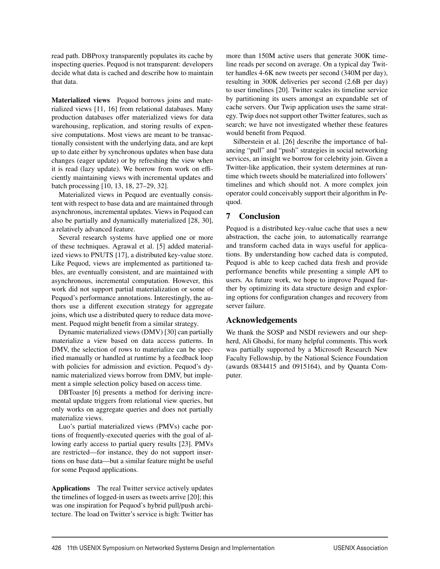read path. DBProxy transparently populates its cache by inspecting queries. Pequod is not transparent: developers decide what data is cached and describe how to maintain that data.

Materialized views Pequod borrows joins and materialized views [11, 16] from relational databases. Many production databases offer materialized views for data warehousing, replication, and storing results of expensive computations. Most views are meant to be transactionally consistent with the underlying data, and are kept up to date either by synchronous updates when base data changes (eager update) or by refreshing the view when it is read (lazy update). We borrow from work on efficiently maintaining views with incremental updates and batch processing [10, 13, 18, 27–29, 32].

Materialized views in Pequod are eventually consistent with respect to base data and are maintained through asynchronous, incremental updates. Views in Pequod can also be partially and dynamically materialized [28, 30], a relatively advanced feature.

Several research systems have applied one or more of these techniques. Agrawal et al. [5] added materialized views to PNUTS [17], a distributed key-value store. Like Pequod, views are implemented as partitioned tables, are eventually consistent, and are maintained with asynchronous, incremental computation. However, this work did not support partial materialization or some of Pequod's performance annotations. Interestingly, the authors use a different execution strategy for aggregate joins, which use a distributed query to reduce data movement. Pequod might benefit from a similar strategy.

Dynamic materialized views (DMV) [30] can partially materialize a view based on data access patterns. In DMV, the selection of rows to materialize can be specified manually or handled at runtime by a feedback loop with policies for admission and eviction. Pequod's dynamic materialized views borrow from DMV, but implement a simple selection policy based on access time.

DBToaster [6] presents a method for deriving incremental update triggers from relational view queries, but only works on aggregate queries and does not partially materialize views.

Luo's partial materialized views (PMVs) cache portions of frequently-executed queries with the goal of allowing early access to partial query results [23]. PMVs are restricted—for instance, they do not support insertions on base data—but a similar feature might be useful for some Pequod applications.

Applications The real Twitter service actively updates the timelines of logged-in users as tweets arrive [20]; this was one inspiration for Pequod's hybrid pull/push architecture. The load on Twitter's service is high: Twitter has more than 150M active users that generate 300K timeline reads per second on average. On a typical day Twitter handles 4-6K new tweets per second (340M per day), resulting in 300K deliveries per second (2.6B per day) to user timelines [20]. Twitter scales its timeline service by partitioning its users amongst an expandable set of cache servers. Our Twip application uses the same strategy. Twip does not support other Twitter features, such as search; we have not investigated whether these features would benefit from Pequod.

Silberstein et al. [26] describe the importance of balancing "pull" and "push" strategies in social networking services, an insight we borrow for celebrity join. Given a Twitter-like application, their system determines at runtime which tweets should be materialized into followers' timelines and which should not. A more complex join operator could conceivably support their algorithm in Pequod.

# 7 Conclusion

Pequod is a distributed key-value cache that uses a new abstraction, the cache join, to automatically rearrange and transform cached data in ways useful for applications. By understanding how cached data is computed, Pequod is able to keep cached data fresh and provide performance benefits while presenting a simple API to users. As future work, we hope to improve Pequod further by optimizing its data structure design and exploring options for configuration changes and recovery from server failure.

# Acknowledgements

We thank the SOSP and NSDI reviewers and our shepherd, Ali Ghodsi, for many helpful comments. This work was partially supported by a Microsoft Research New Faculty Fellowship, by the National Science Foundation (awards 0834415 and 0915164), and by Quanta Computer.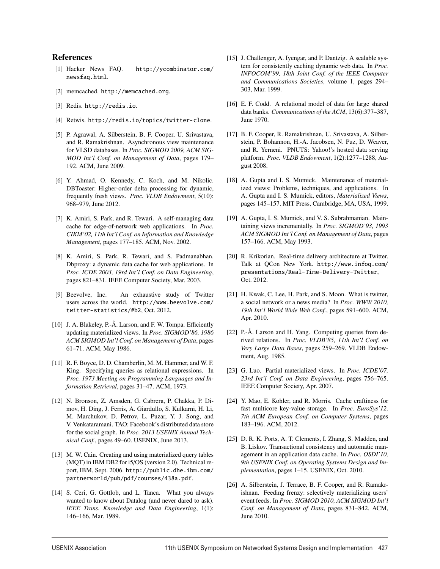#### References

- [1] Hacker News FAQ. http://ycombinator.com/ newsfaq.html.
- [2] memcached. http://memcached.org.
- [3] Redis. http://redis.io.
- [4] Retwis. http://redis.io/topics/twitter-clone.
- [5] P. Agrawal, A. Silberstein, B. F. Cooper, U. Srivastava, and R. Ramakrishnan. Asynchronous view maintenance for VLSD databases. In *Proc. SIGMOD 2009, ACM SIG-MOD Int'l Conf. on Management of Data*, pages 179– 192. ACM, June 2009.
- [6] Y. Ahmad, O. Kennedy, C. Koch, and M. Nikolic. DBToaster: Higher-order delta processing for dynamic, frequently fresh views. *Proc. VLDB Endowment*, 5(10): 968–979, June 2012.
- [7] K. Amiri, S. Park, and R. Tewari. A self-managing data cache for edge-of-network web applications. In *Proc. CIKM'02, 11th Int'l Conf. on Information and Knowledge Management*, pages 177–185. ACM, Nov. 2002.
- [8] K. Amiri, S. Park, R. Tewari, and S. Padmanabhan. Dbproxy: a dynamic data cache for web applications. In *Proc. ICDE 2003, 19rd Int'l Conf. on Data Engineering*, pages 821–831. IEEE Computer Society, Mar. 2003.
- [9] Beevolve, Inc. An exhaustive study of Twitter users across the world. http://www.beevolve.com/ twitter-statistics/#b2, Oct. 2012.
- [10] J. A. Blakeley, P.-Å. Larson, and F. W. Tompa. Efficiently updating materialized views. In *Proc. SIGMOD'86, 1986 ACM SIGMOD Int'l Conf. on Management of Data*, pages 61–71. ACM, May 1986.
- [11] R. F. Boyce, D. D. Chamberlin, M. M. Hammer, and W. F. King. Specifying queries as relational expressions. In *Proc. 1973 Meeting on Programming Languages and Information Retrieval*, pages 31–47. ACM, 1973.
- [12] N. Bronson, Z. Amsden, G. Cabrera, P. Chakka, P. Dimov, H. Ding, J. Ferris, A. Giardullo, S. Kulkarni, H. Li, M. Marchukov, D. Petrov, L. Puzar, Y. J. Song, and V. Venkataramani. TAO: Facebook's distributed data store for the social graph. In *Proc. 2013 USENIX Annual Technical Conf.*, pages 49–60. USENIX, June 2013.
- [13] M. W. Cain. Creating and using materialized query tables (MQT) in IBM DB2 for i5/OS (version 2.0). Technical report, IBM, Sept. 2006. http://public.dhe.ibm.com/ partnerworld/pub/pdf/courses/438a.pdf.
- [14] S. Ceri, G. Gottlob, and L. Tanca. What you always wanted to know about Datalog (and never dared to ask). *IEEE Trans. Knowledge and Data Engineering*, 1(1): 146–166, Mar. 1989.
- [15] J. Challenger, A. Iyengar, and P. Dantzig. A scalable system for consistently caching dynamic web data. In *Proc. INFOCOM'99, 18th Joint Conf. of the IEEE Computer and Communications Societies*, volume 1, pages 294– 303, Mar. 1999.
- [16] E. F. Codd. A relational model of data for large shared data banks. *Communications of the ACM*, 13(6):377–387, June 1970.
- [17] B. F. Cooper, R. Ramakrishnan, U. Srivastava, A. Silberstein, P. Bohannon, H.-A. Jacobsen, N. Puz, D. Weaver, and R. Yerneni. PNUTS: Yahoo!'s hosted data serving platform. *Proc. VLDB Endowment*, 1(2):1277–1288, August 2008.
- [18] A. Gupta and I. S. Mumick. Maintenance of materialized views: Problems, techniques, and applications. In A. Gupta and I. S. Mumick, editors, *Materialized Views*, pages 145–157. MIT Press, Cambridge, MA, USA, 1999.
- [19] A. Gupta, I. S. Mumick, and V. S. Subrahmanian. Maintaining views incrementally. In *Proc. SIGMOD'93, 1993 ACM SIGMOD Int'l Conf. on Management of Data*, pages 157–166. ACM, May 1993.
- [20] R. Krikorian. Real-time delivery architecture at Twitter. Talk at QCon New York. http://www.infoq.com/ presentations/Real-Time-Delivery-Twitter, Oct. 2012.
- [21] H. Kwak, C. Lee, H. Park, and S. Moon. What is twitter, a social network or a news media? In *Proc. WWW 2010, 19th Int'l World Wide Web Conf.*, pages 591–600. ACM, Apr. 2010.
- [22] P.-Å. Larson and H. Yang. Computing queries from derived relations. In *Proc. VLDB'85, 11th Int'l Conf. on Very Large Data Bases*, pages 259–269. VLDB Endowment, Aug. 1985.
- [23] G. Luo. Partial materialized views. In *Proc. ICDE'07, 23rd Int'l Conf. on Data Engineering*, pages 756–765. IEEE Computer Society, Apr. 2007.
- [24] Y. Mao, E. Kohler, and R. Morris. Cache craftiness for fast multicore key-value storage. In *Proc. EuroSys'12, 7th ACM European Conf. on Computer Systems*, pages 183–196. ACM, 2012.
- [25] D. R. K. Ports, A. T. Clements, I. Zhang, S. Madden, and B. Liskov. Transactional consistency and automatic management in an application data cache. In *Proc. OSDI'10, 9th USENIX Conf. on Operating Systems Design and Implementation*, pages 1–15. USENIX, Oct. 2010.
- [26] A. Silberstein, J. Terrace, B. F. Cooper, and R. Ramakrishnan. Feeding frenzy: selectively materializing users' event feeds. In *Proc. SIGMOD 2010, ACM SIGMOD Int'l Conf. on Management of Data*, pages 831–842. ACM, June 2010.

 $\overline{a}$